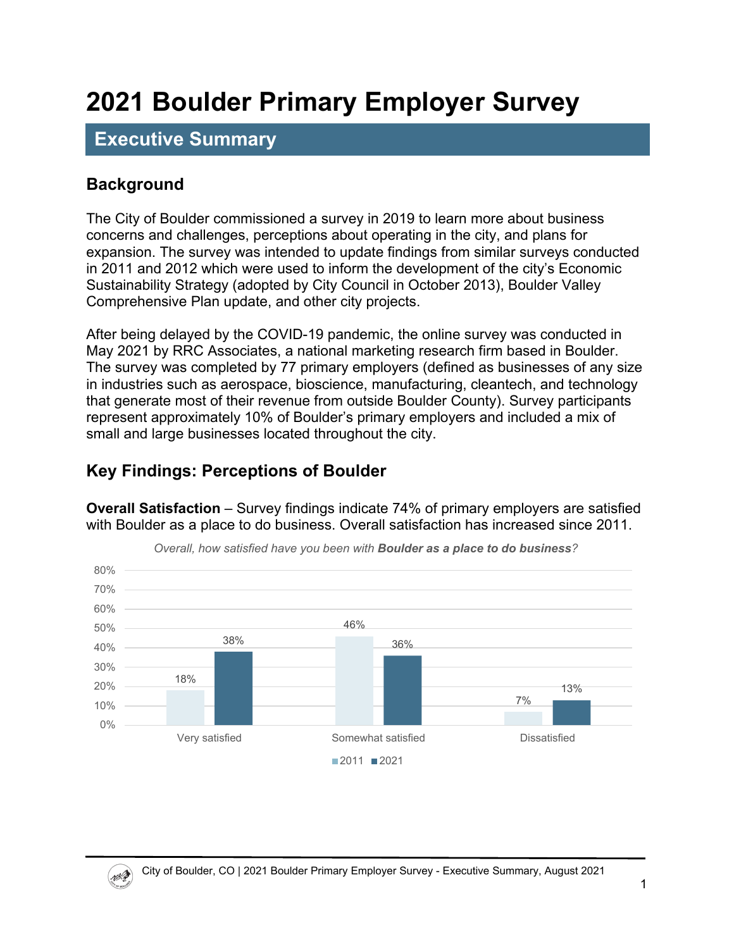# **2021 Boulder Primary Employer Survey**

## **Executive Summary**

#### **Background**

NA

The City of Boulder commissioned a survey in 2019 to learn more about business concerns and challenges, perceptions about operating in the city, and plans for expansion. The survey was intended to update findings from similar surveys conducted in 2011 and 2012 which were used to inform the development of the city's Economic Sustainability Strategy (adopted by City Council in October 2013), Boulder Valley Comprehensive Plan update, and other city projects.

After being delayed by the COVID-19 pandemic, the online survey was conducted in May 2021 by RRC Associates, a national marketing research firm based in Boulder. The survey was completed by 77 primary employers (defined as businesses of any size in industries such as aerospace, bioscience, manufacturing, cleantech, and technology that generate most of their revenue from outside Boulder County). Survey participants represent approximately 10% of Boulder's primary employers and included a mix of small and large businesses located throughout the city.

#### **Key Findings: Perceptions of Boulder**

**Overall Satisfaction** – Survey findings indicate 74% of primary employers are satisfied with Boulder as a place to do business. Overall satisfaction has increased since 2011.



*Overall, how satisfied have you been with Boulder as a place to do business?*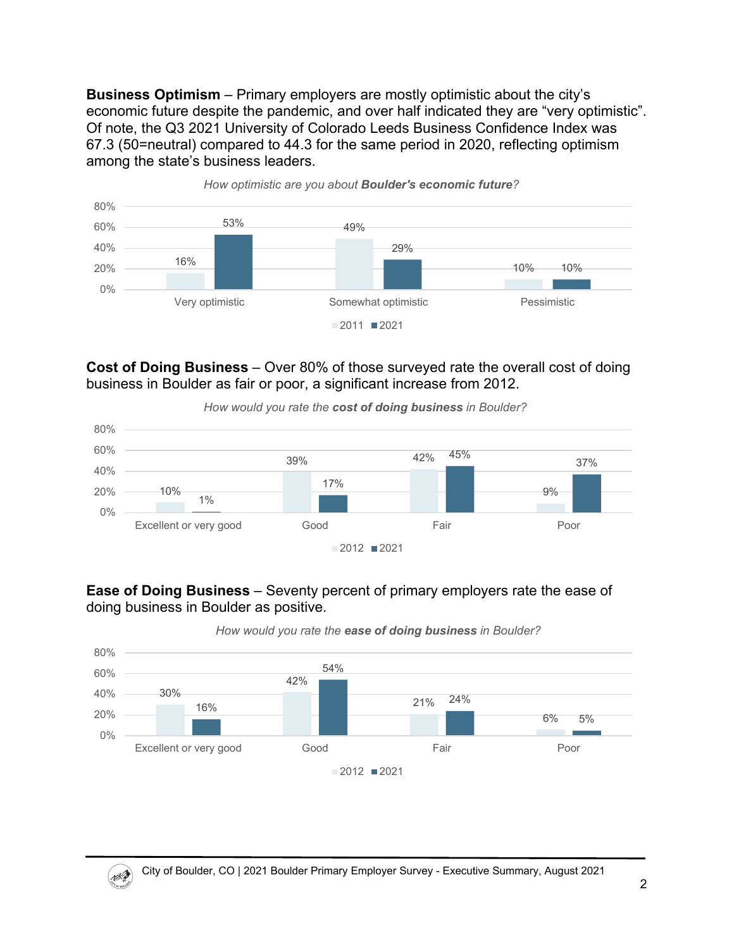**Business Optimism** – Primary employers are mostly optimistic about the city's economic future despite the pandemic, and over half indicated they are "very optimistic". Of note, the Q3 2021 University of Colorado Leeds Business Confidence Index was 67.3 (50=neutral) compared to 44.3 for the same period in 2020, reflecting optimism among the state's business leaders.



**Cost of Doing Business** – Over 80% of those surveyed rate the overall cost of doing business in Boulder as fair or poor, a significant increase from 2012.



*How would you rate the cost of doing business in Boulder?*

**Ease of Doing Business** – Seventy percent of primary employers rate the ease of doing business in Boulder as positive.



*How would you rate the ease of doing business in Boulder?*

 $(\mathscr{W})$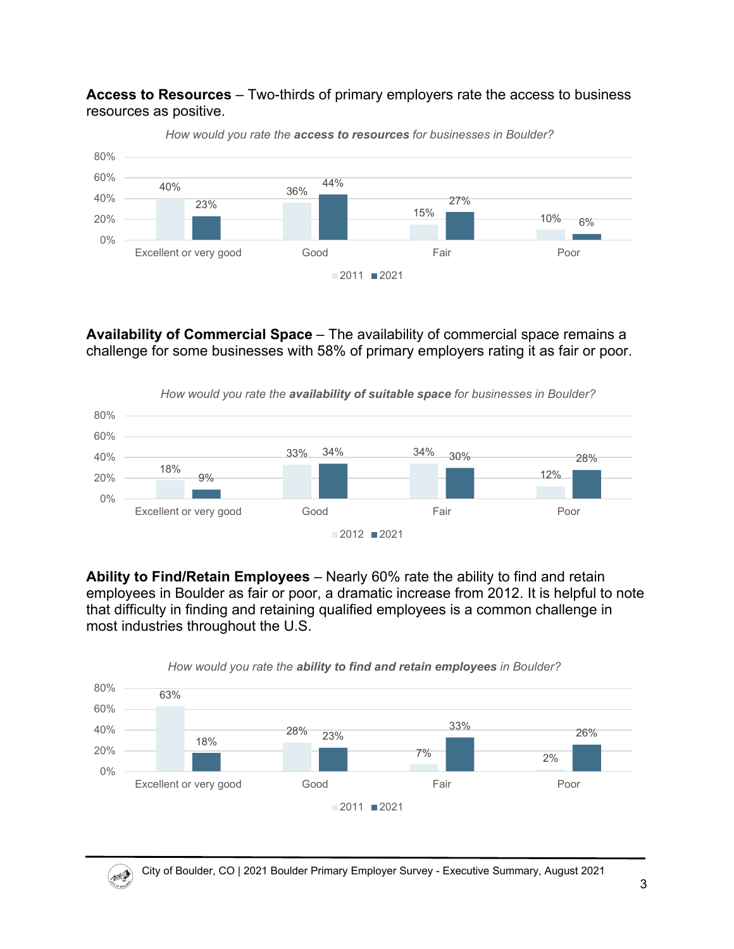**Access to Resources** – Two-thirds of primary employers rate the access to business resources as positive.



*How would you rate the access to resources for businesses in Boulder?*

**Availability of Commercial Space** – The availability of commercial space remains a challenge for some businesses with 58% of primary employers rating it as fair or poor.



**Ability to Find/Retain Employees** – Nearly 60% rate the ability to find and retain employees in Boulder as fair or poor, a dramatic increase from 2012. It is helpful to note that difficulty in finding and retaining qualified employees is a common challenge in most industries throughout the U.S.



*How would you rate the ability to find and retain employees in Boulder?*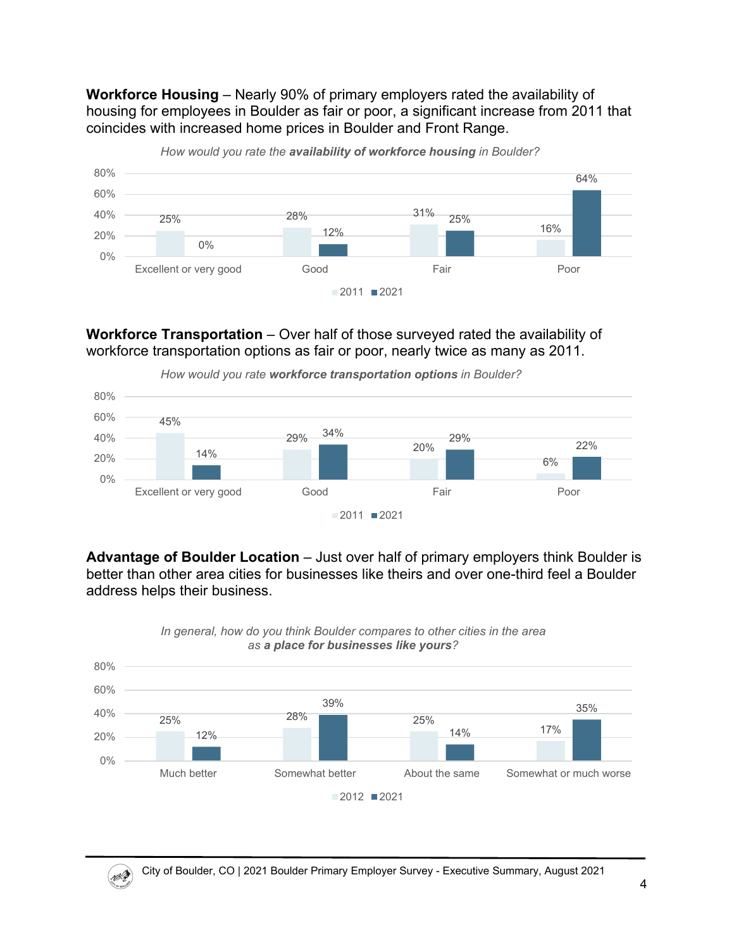**Workforce Housing** – Nearly 90% of primary employers rated the availability of housing for employees in Boulder as fair or poor, a significant increase from 2011 that coincides with increased home prices in Boulder and Front Range.



*How would you rate the availability of workforce housing in Boulder?*

**Workforce Transportation** – Over half of those surveyed rated the availability of workforce transportation options as fair or poor, nearly twice as many as 2011.



**Advantage of Boulder Location** – Just over half of primary employers think Boulder is better than other area cities for businesses like theirs and over one-third feel a Boulder address helps their business.



*In general, how do you think Boulder compares to other cities in the area as a place for businesses like yours?*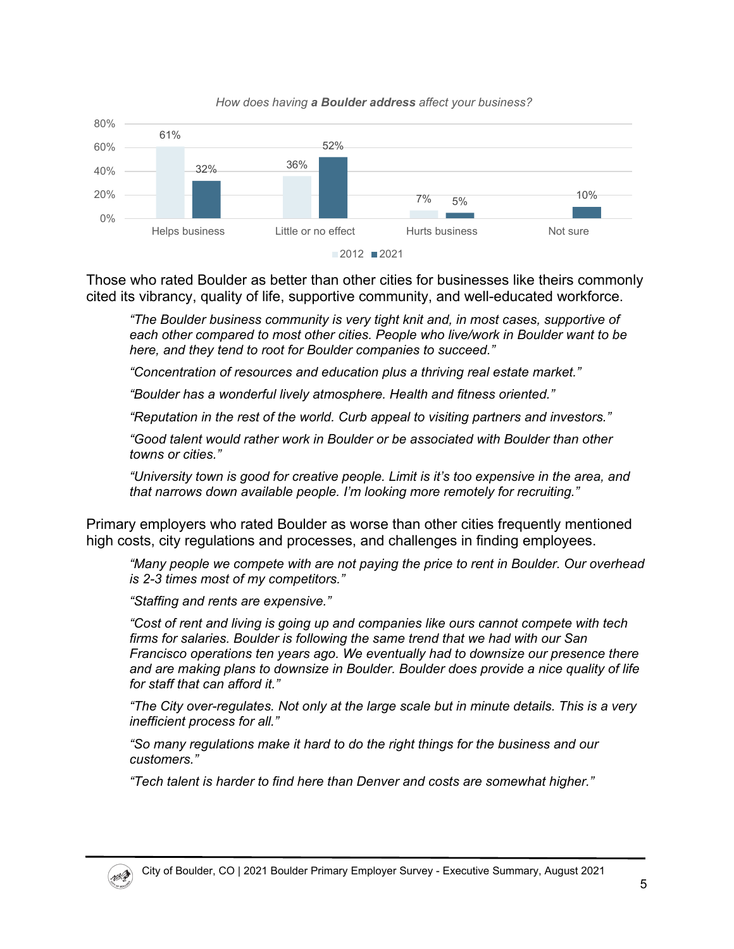

*How does having a Boulder address affect your business?*

Those who rated Boulder as better than other cities for businesses like theirs commonly cited its vibrancy, quality of life, supportive community, and well-educated workforce.

*"The Boulder business community is very tight knit and, in most cases, supportive of each other compared to most other cities. People who live/work in Boulder want to be here, and they tend to root for Boulder companies to succeed."*

*"Concentration of resources and education plus a thriving real estate market."*

*"Boulder has a wonderful lively atmosphere. Health and fitness oriented."*

*"Reputation in the rest of the world. Curb appeal to visiting partners and investors."*

*"Good talent would rather work in Boulder or be associated with Boulder than other towns or cities."*

*"University town is good for creative people. Limit is it's too expensive in the area, and that narrows down available people. I'm looking more remotely for recruiting."*

Primary employers who rated Boulder as worse than other cities frequently mentioned high costs, city regulations and processes, and challenges in finding employees.

*"Many people we compete with are not paying the price to rent in Boulder. Our overhead is 2-3 times most of my competitors."*

*"Staffing and rents are expensive."*

*"Cost of rent and living is going up and companies like ours cannot compete with tech firms for salaries. Boulder is following the same trend that we had with our San Francisco operations ten years ago. We eventually had to downsize our presence there and are making plans to downsize in Boulder. Boulder does provide a nice quality of life for staff that can afford it."*

*"The City over-regulates. Not only at the large scale but in minute details. This is a very inefficient process for all."*

*"So many regulations make it hard to do the right things for the business and our customers."*

*"Tech talent is harder to find here than Denver and costs are somewhat higher."*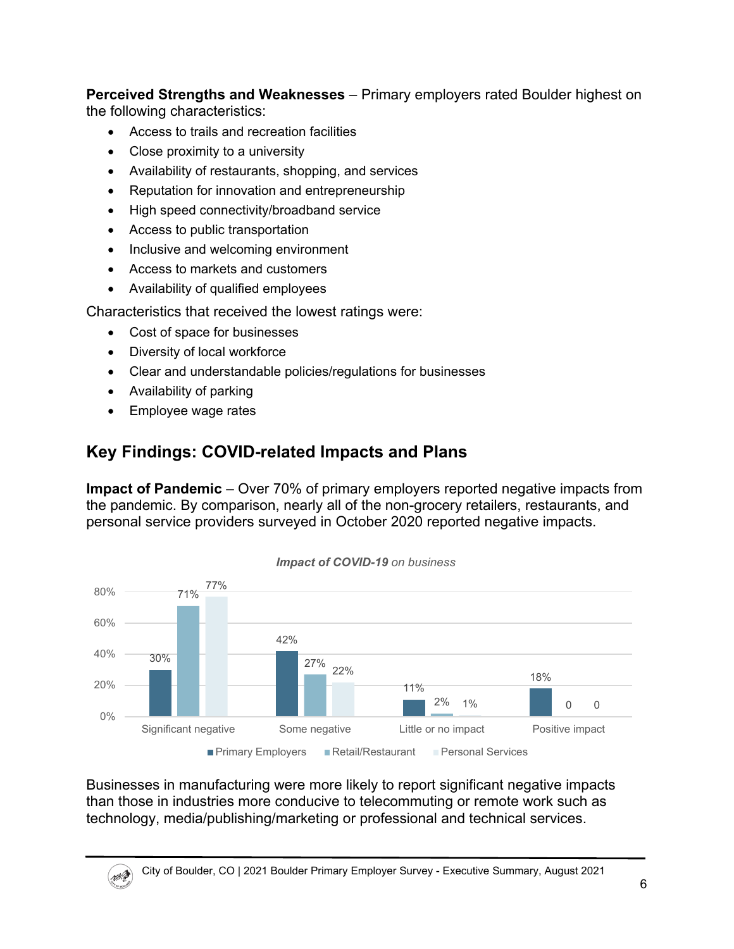**Perceived Strengths and Weaknesses** – Primary employers rated Boulder highest on the following characteristics:

- Access to trails and recreation facilities
- Close proximity to a university
- Availability of restaurants, shopping, and services
- Reputation for innovation and entrepreneurship
- High speed connectivity/broadband service
- Access to public transportation
- Inclusive and welcoming environment
- Access to markets and customers
- Availability of qualified employees

Characteristics that received the lowest ratings were:

- Cost of space for businesses
- Diversity of local workforce
- Clear and understandable policies/regulations for businesses
- Availability of parking
- Employee wage rates

**MAD** 

#### **Key Findings: COVID-related Impacts and Plans**

**Impact of Pandemic** – Over 70% of primary employers reported negative impacts from the pandemic. By comparison, nearly all of the non-grocery retailers, restaurants, and personal service providers surveyed in October 2020 reported negative impacts.



Businesses in manufacturing were more likely to report significant negative impacts than those in industries more conducive to telecommuting or remote work such as technology, media/publishing/marketing or professional and technical services.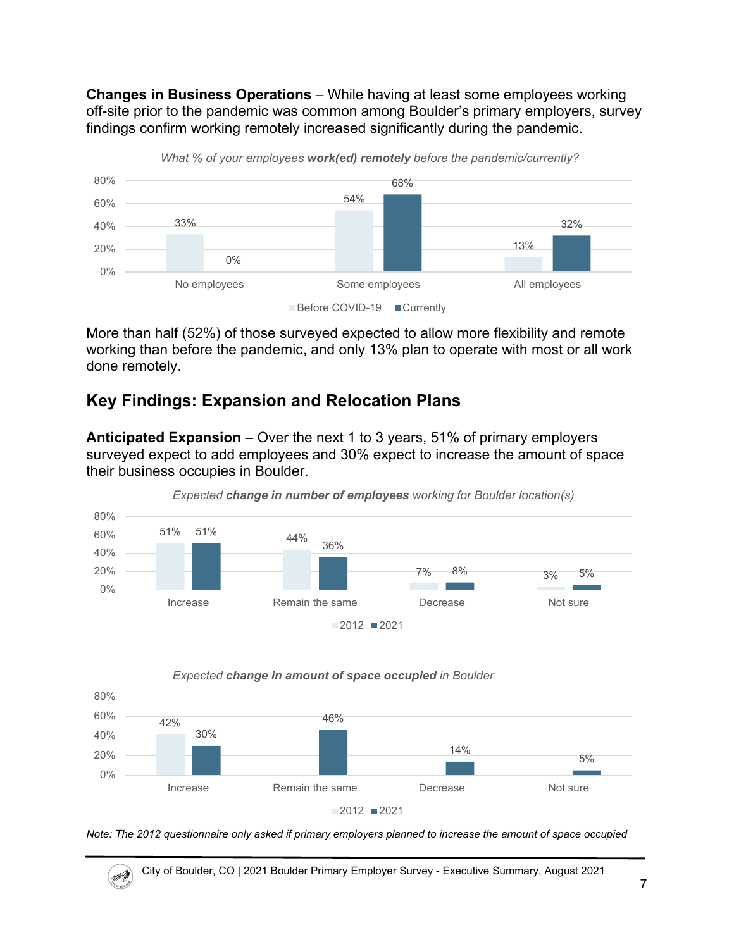**Changes in Business Operations** – While having at least some employees working off-site prior to the pandemic was common among Boulder's primary employers, survey findings confirm working remotely increased significantly during the pandemic.



More than half (52%) of those surveyed expected to allow more flexibility and remote working than before the pandemic, and only 13% plan to operate with most or all work done remotely.

### **Key Findings: Expansion and Relocation Plans**

**Anticipated Expansion** – Over the next 1 to 3 years, 51% of primary employers surveyed expect to add employees and 30% expect to increase the amount of space their business occupies in Boulder.



*Expected change in number of employees working for Boulder location(s)*





NA